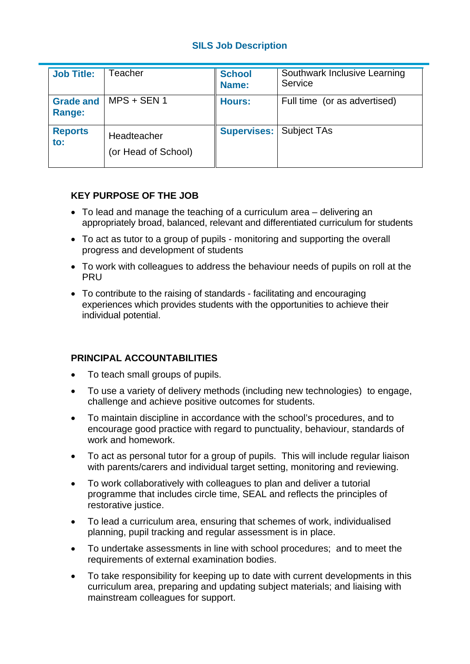#### **SILS Job Description**

| <b>Job Title:</b>          | Teacher                            | <b>School</b><br>Name: | Southwark Inclusive Learning<br>Service |
|----------------------------|------------------------------------|------------------------|-----------------------------------------|
| <b>Grade and</b><br>Range: | $MPS + SEN 1$                      | <b>Hours:</b>          | Full time (or as advertised)            |
| <b>Reports</b><br>to:      | Headteacher<br>(or Head of School) | <b>Supervises:</b>     | <b>Subject TAs</b>                      |

### **KEY PURPOSE OF THE JOB**

- To lead and manage the teaching of a curriculum area delivering an appropriately broad, balanced, relevant and differentiated curriculum for students
- To act as tutor to a group of pupils monitoring and supporting the overall progress and development of students
- To work with colleagues to address the behaviour needs of pupils on roll at the PRU
- To contribute to the raising of standards facilitating and encouraging experiences which provides students with the opportunities to achieve their individual potential.

## **PRINCIPAL ACCOUNTABILITIES**

- To teach small groups of pupils.
- To use a variety of delivery methods (including new technologies) to engage, challenge and achieve positive outcomes for students.
- To maintain discipline in accordance with the school's procedures, and to encourage good practice with regard to punctuality, behaviour, standards of work and homework.
- To act as personal tutor for a group of pupils. This will include regular liaison with parents/carers and individual target setting, monitoring and reviewing.
- To work collaboratively with colleagues to plan and deliver a tutorial programme that includes circle time, SEAL and reflects the principles of restorative justice.
- To lead a curriculum area, ensuring that schemes of work, individualised planning, pupil tracking and regular assessment is in place.
- To undertake assessments in line with school procedures; and to meet the requirements of external examination bodies.
- To take responsibility for keeping up to date with current developments in this curriculum area, preparing and updating subject materials; and liaising with mainstream colleagues for support.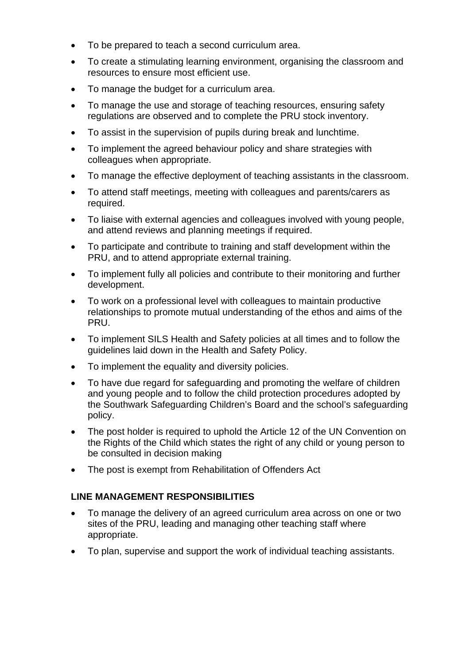- To be prepared to teach a second curriculum area.
- To create a stimulating learning environment, organising the classroom and resources to ensure most efficient use.
- To manage the budget for a curriculum area.
- To manage the use and storage of teaching resources, ensuring safety regulations are observed and to complete the PRU stock inventory.
- To assist in the supervision of pupils during break and lunchtime.
- To implement the agreed behaviour policy and share strategies with colleagues when appropriate.
- To manage the effective deployment of teaching assistants in the classroom.
- To attend staff meetings, meeting with colleagues and parents/carers as required.
- To liaise with external agencies and colleagues involved with young people, and attend reviews and planning meetings if required.
- To participate and contribute to training and staff development within the PRU, and to attend appropriate external training.
- To implement fully all policies and contribute to their monitoring and further development.
- To work on a professional level with colleagues to maintain productive relationships to promote mutual understanding of the ethos and aims of the PRU.
- To implement SILS Health and Safety policies at all times and to follow the guidelines laid down in the Health and Safety Policy.
- To implement the equality and diversity policies.
- To have due regard for safeguarding and promoting the welfare of children and young people and to follow the child protection procedures adopted by the Southwark Safeguarding Children's Board and the school's safeguarding policy.
- The post holder is required to uphold the Article 12 of the UN Convention on the Rights of the Child which states the right of any child or young person to be consulted in decision making
- The post is exempt from Rehabilitation of Offenders Act

#### **LINE MANAGEMENT RESPONSIBILITIES**

- To manage the delivery of an agreed curriculum area across on one or two sites of the PRU, leading and managing other teaching staff where appropriate.
- To plan, supervise and support the work of individual teaching assistants.